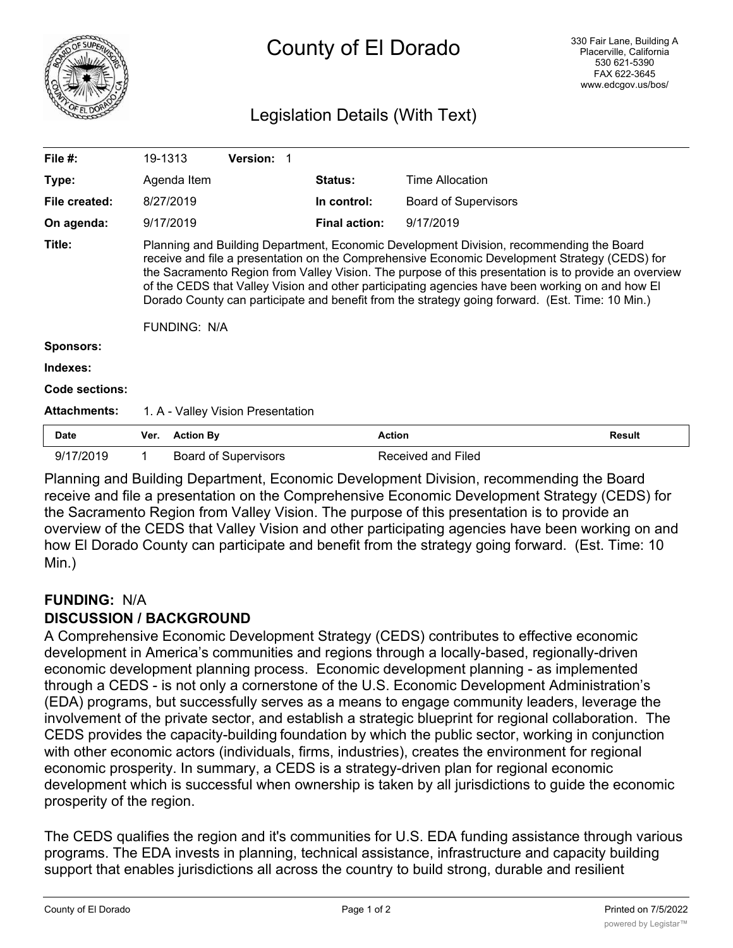

# County of El Dorado

### Legislation Details (With Text)

| File $#$ :          | 19-1313                                                                                                                                                                                                                                                                                                                                                                                                                                                                                                                       |                  | Version: 1                        |                      |                             |               |
|---------------------|-------------------------------------------------------------------------------------------------------------------------------------------------------------------------------------------------------------------------------------------------------------------------------------------------------------------------------------------------------------------------------------------------------------------------------------------------------------------------------------------------------------------------------|------------------|-----------------------------------|----------------------|-----------------------------|---------------|
| Type:               |                                                                                                                                                                                                                                                                                                                                                                                                                                                                                                                               | Agenda Item      |                                   | <b>Status:</b>       | Time Allocation             |               |
| File created:       |                                                                                                                                                                                                                                                                                                                                                                                                                                                                                                                               | 8/27/2019        |                                   | In control:          | <b>Board of Supervisors</b> |               |
| On agenda:          |                                                                                                                                                                                                                                                                                                                                                                                                                                                                                                                               | 9/17/2019        |                                   | <b>Final action:</b> | 9/17/2019                   |               |
| Title:              | Planning and Building Department, Economic Development Division, recommending the Board<br>receive and file a presentation on the Comprehensive Economic Development Strategy (CEDS) for<br>the Sacramento Region from Valley Vision. The purpose of this presentation is to provide an overview<br>of the CEDS that Valley Vision and other participating agencies have been working on and how El<br>Dorado County can participate and benefit from the strategy going forward. (Est. Time: 10 Min.)<br><b>FUNDING: N/A</b> |                  |                                   |                      |                             |               |
| <b>Sponsors:</b>    |                                                                                                                                                                                                                                                                                                                                                                                                                                                                                                                               |                  |                                   |                      |                             |               |
| Indexes:            |                                                                                                                                                                                                                                                                                                                                                                                                                                                                                                                               |                  |                                   |                      |                             |               |
| Code sections:      |                                                                                                                                                                                                                                                                                                                                                                                                                                                                                                                               |                  |                                   |                      |                             |               |
| <b>Attachments:</b> |                                                                                                                                                                                                                                                                                                                                                                                                                                                                                                                               |                  | 1. A - Valley Vision Presentation |                      |                             |               |
| <b>Date</b>         | Ver.                                                                                                                                                                                                                                                                                                                                                                                                                                                                                                                          | <b>Action By</b> |                                   | <b>Action</b>        |                             | <b>Result</b> |
| 9/17/2019           |                                                                                                                                                                                                                                                                                                                                                                                                                                                                                                                               |                  | <b>Board of Supervisors</b>       |                      | Received and Filed          |               |

Planning and Building Department, Economic Development Division, recommending the Board receive and file a presentation on the Comprehensive Economic Development Strategy (CEDS) for the Sacramento Region from Valley Vision. The purpose of this presentation is to provide an overview of the CEDS that Valley Vision and other participating agencies have been working on and how El Dorado County can participate and benefit from the strategy going forward. (Est. Time: 10 Min.)

#### **FUNDING:** N/A

#### **DISCUSSION / BACKGROUND**

A Comprehensive Economic Development Strategy (CEDS) contributes to effective economic development in America's communities and regions through a locally-based, regionally-driven economic development planning process. Economic development planning - as implemented through a CEDS - is not only a cornerstone of the U.S. Economic Development Administration's (EDA) programs, but successfully serves as a means to engage community leaders, leverage the involvement of the private sector, and establish a strategic blueprint for regional collaboration. The CEDS provides the capacity-building foundation by which the public sector, working in conjunction with other economic actors (individuals, firms, industries), creates the environment for regional economic prosperity. In summary, a CEDS is a strategy-driven plan for regional economic development which is successful when ownership is taken by all jurisdictions to guide the economic prosperity of the region.

The CEDS qualifies the region and it's communities for U.S. EDA funding assistance through various programs. The EDA invests in planning, technical assistance, infrastructure and capacity building support that enables jurisdictions all across the country to build strong, durable and resilient